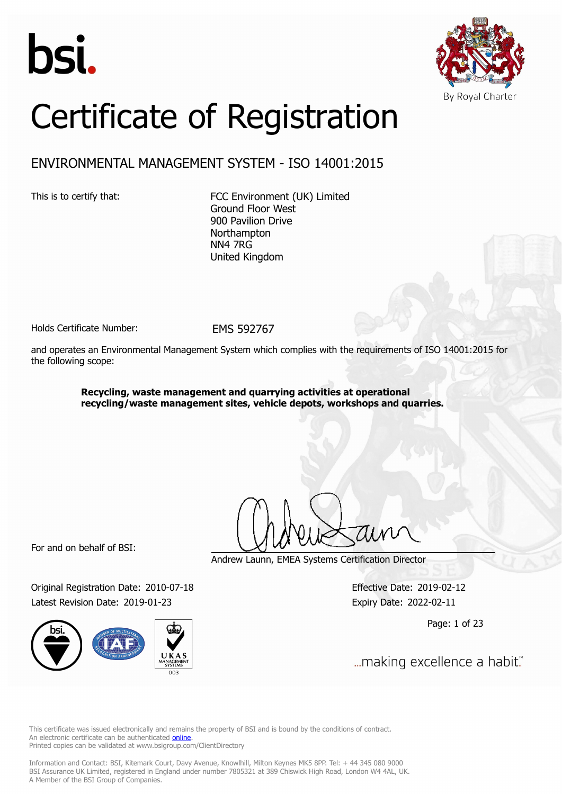



# Certificate of Registration

## ENVIRONMENTAL MANAGEMENT SYSTEM - ISO 14001:2015

This is to certify that: FCC Environment (UK) Limited Ground Floor West 900 Pavilion Drive **Northampton** NN4 7RG United Kingdom

Holds Certificate Number: FMS 592767

and operates an Environmental Management System which complies with the requirements of ISO 14001:2015 for the following scope:

> **Recycling, waste management and quarrying activities at operational recycling/waste management sites, vehicle depots, workshops and quarries.**

For and on behalf of BSI:

Original Registration Date: 2010-07-18 Effective Date: 2019-02-12 Latest Revision Date: 2019-01-23 Expiry Date: 2022-02-11



Andrew Launn, EMEA Systems Certification Director

Page: 1 of 23

... making excellence a habit."

This certificate was issued electronically and remains the property of BSI and is bound by the conditions of contract. An electronic certificate can be authenticated **[online](https://pgplus.bsigroup.com/CertificateValidation/CertificateValidator.aspx?CertificateNumber=EMS+592767&ReIssueDate=23%2f01%2f2019&Template=uk)**. Printed copies can be validated at www.bsigroup.com/ClientDirectory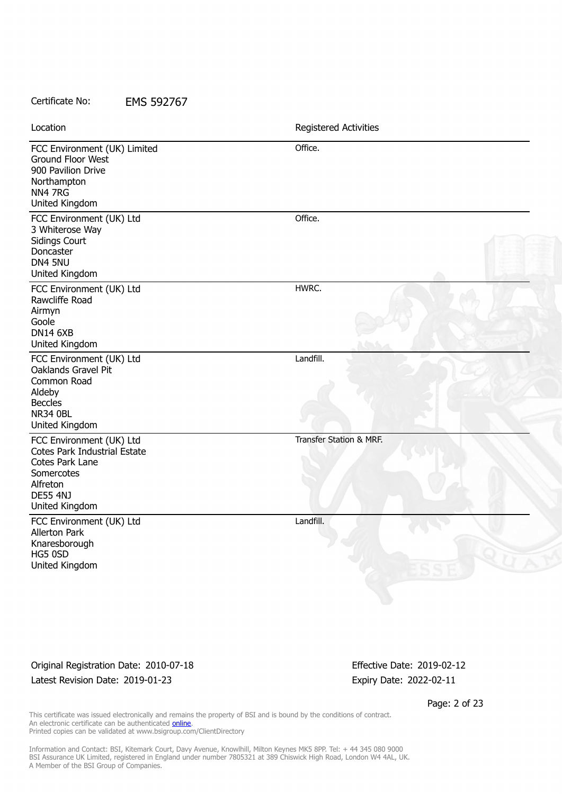| Location                                                                                                                                   | Registered Activities   |
|--------------------------------------------------------------------------------------------------------------------------------------------|-------------------------|
| FCC Environment (UK) Limited<br>Ground Floor West<br>900 Pavilion Drive<br>Northampton<br>NN4 7RG<br>United Kingdom                        | Office.                 |
| FCC Environment (UK) Ltd<br>3 Whiterose Way<br><b>Sidings Court</b><br>Doncaster<br>DN4 5NU<br>United Kingdom                              | Office.                 |
| FCC Environment (UK) Ltd<br>Rawcliffe Road<br>Airmyn<br>Goole<br><b>DN14 6XB</b><br>United Kingdom                                         | HWRC.                   |
| FCC Environment (UK) Ltd<br>Oaklands Gravel Pit<br>Common Road<br>Aldeby<br><b>Beccles</b><br><b>NR34 0BL</b><br>United Kingdom            | Landfill.               |
| FCC Environment (UK) Ltd<br>Cotes Park Industrial Estate<br>Cotes Park Lane<br>Somercotes<br>Alfreton<br><b>DE55 4NJ</b><br>United Kingdom | Transfer Station & MRF. |
| FCC Environment (UK) Ltd<br>Allerton Park<br>Knaresborough<br>HG5 0SD<br>United Kingdom                                                    | Landfill.               |

## Original Registration Date: 2010-07-18 Effective Date: 2019-02-12 Latest Revision Date: 2019-01-23 Expiry Date: 2022-02-11

Page: 2 of 23

This certificate was issued electronically and remains the property of BSI and is bound by the conditions of contract. An electronic certificate can be authenticated **[online](https://pgplus.bsigroup.com/CertificateValidation/CertificateValidator.aspx?CertificateNumber=EMS+592767&ReIssueDate=23%2f01%2f2019&Template=uk)**. Printed copies can be validated at www.bsigroup.com/ClientDirectory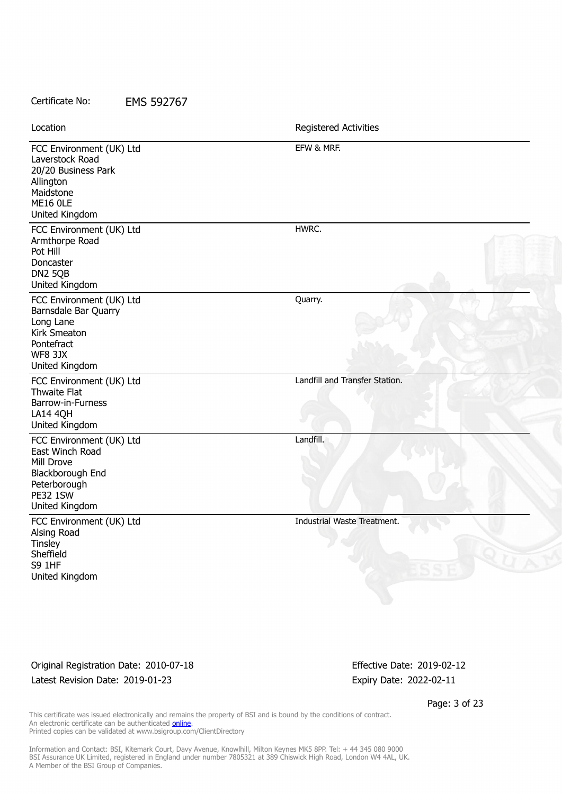| Location                                                                                                                           | Registered Activities             |
|------------------------------------------------------------------------------------------------------------------------------------|-----------------------------------|
| FCC Environment (UK) Ltd<br>Laverstock Road<br>20/20 Business Park<br>Allington<br>Maidstone<br><b>ME16 OLE</b><br>United Kingdom  | EFW & MRF.                        |
| FCC Environment (UK) Ltd<br>Armthorpe Road<br>Pot Hill<br>Doncaster<br><b>DN2 5QB</b><br>United Kingdom                            | HWRC.                             |
| FCC Environment (UK) Ltd<br>Barnsdale Bar Quarry<br>Long Lane<br>Kirk Smeaton<br>Pontefract<br><b>WF8 3JX</b><br>United Kingdom    | Quarry.                           |
| FCC Environment (UK) Ltd<br>Thwaite Flat<br>Barrow-in-Furness<br><b>LA14 4QH</b><br>United Kingdom                                 | Landfill and Transfer Station.    |
| FCC Environment (UK) Ltd<br>East Winch Road<br>Mill Drove<br>Blackborough End<br>Peterborough<br><b>PE32 1SW</b><br>United Kingdom | Landfill.                         |
| FCC Environment (UK) Ltd<br>Alsing Road<br><b>Tinsley</b><br>Sheffield<br>S9 1HF<br>United Kingdom                                 | Industrial Waste Treatment.<br>ES |

Original Registration Date: 2010-07-18 Effective Date: 2019-02-12 Latest Revision Date: 2019-01-23 Expiry Date: 2022-02-11

Page: 3 of 23

This certificate was issued electronically and remains the property of BSI and is bound by the conditions of contract. An electronic certificate can be authenticated **[online](https://pgplus.bsigroup.com/CertificateValidation/CertificateValidator.aspx?CertificateNumber=EMS+592767&ReIssueDate=23%2f01%2f2019&Template=uk)**. Printed copies can be validated at www.bsigroup.com/ClientDirectory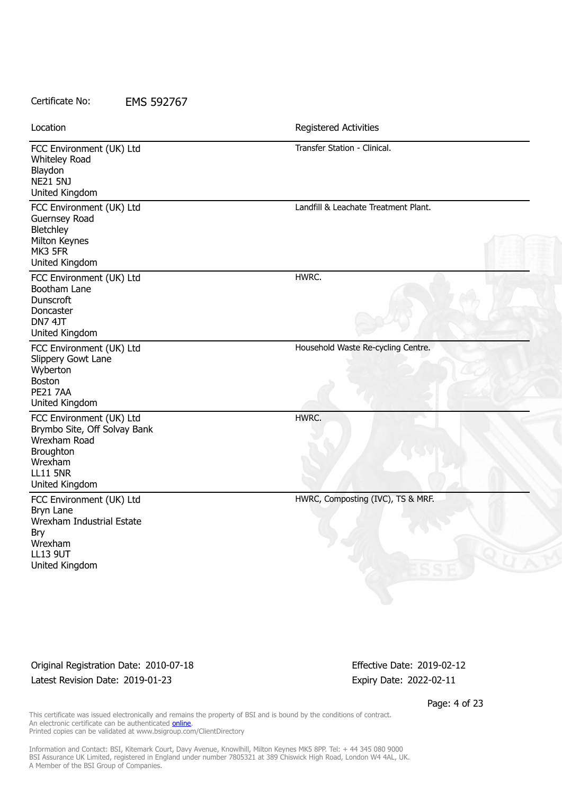| Location                                                                                                                              | Registered Activities                |
|---------------------------------------------------------------------------------------------------------------------------------------|--------------------------------------|
| FCC Environment (UK) Ltd<br>Whiteley Road<br>Blaydon<br><b>NE21 5NJ</b><br>United Kingdom                                             | Transfer Station - Clinical.         |
| FCC Environment (UK) Ltd<br>Guernsey Road<br>Bletchley<br>Milton Keynes<br>MK3 5FR<br>United Kingdom                                  | Landfill & Leachate Treatment Plant. |
| FCC Environment (UK) Ltd<br>Bootham Lane<br>Dunscroft<br>Doncaster<br>DN7 4JT<br>United Kingdom                                       | HWRC.                                |
| FCC Environment (UK) Ltd<br>Slippery Gowt Lane<br>Wyberton<br><b>Boston</b><br><b>PE21 7AA</b><br>United Kingdom                      | Household Waste Re-cycling Centre.   |
| FCC Environment (UK) Ltd<br>Brymbo Site, Off Solvay Bank<br>Wrexham Road<br>Broughton<br>Wrexham<br><b>LL11 5NR</b><br>United Kingdom | HWRC.                                |
| FCC Environment (UK) Ltd<br>Bryn Lane<br>Wrexham Industrial Estate<br><b>Bry</b><br>Wrexham<br><b>LL13 9UT</b><br>United Kingdom      | HWRC, Composting (IVC), TS & MRF.    |

Original Registration Date: 2010-07-18 Effective Date: 2019-02-12 Latest Revision Date: 2019-01-23 Expiry Date: 2022-02-11

Page: 4 of 23

This certificate was issued electronically and remains the property of BSI and is bound by the conditions of contract. An electronic certificate can be authenticated **[online](https://pgplus.bsigroup.com/CertificateValidation/CertificateValidator.aspx?CertificateNumber=EMS+592767&ReIssueDate=23%2f01%2f2019&Template=uk)**. Printed copies can be validated at www.bsigroup.com/ClientDirectory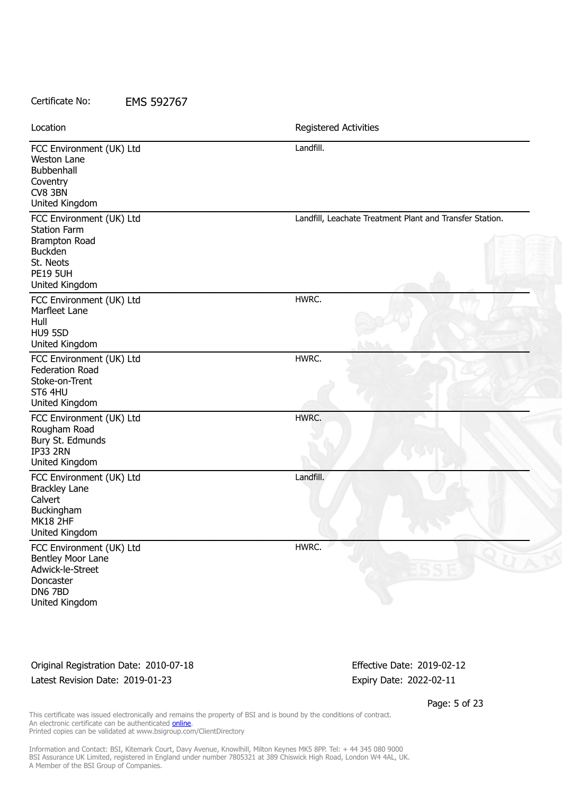| Certificate No: | <b>EMS 592767</b> |
|-----------------|-------------------|
|                 |                   |

| Location                                                                                                                                    | Registered Activities                                    |
|---------------------------------------------------------------------------------------------------------------------------------------------|----------------------------------------------------------|
| FCC Environment (UK) Ltd<br>Weston Lane<br>Bubbenhall<br>Coventry<br>CV8 3BN<br>United Kingdom                                              | Landfill.                                                |
| FCC Environment (UK) Ltd<br><b>Station Farm</b><br><b>Brampton Road</b><br><b>Buckden</b><br>St. Neots<br><b>PE19 5UH</b><br>United Kingdom | Landfill, Leachate Treatment Plant and Transfer Station. |
| FCC Environment (UK) Ltd<br>Marfleet Lane<br>Hull<br>HU9 5SD<br>United Kingdom                                                              | HWRC.                                                    |
| FCC Environment (UK) Ltd<br><b>Federation Road</b><br>Stoke-on-Trent<br>ST6 4HU<br>United Kingdom                                           | HWRC.                                                    |
| FCC Environment (UK) Ltd<br>Rougham Road<br>Bury St. Edmunds<br>IP33 2RN<br>United Kingdom                                                  | HWRC.                                                    |
| FCC Environment (UK) Ltd<br><b>Brackley Lane</b><br>Calvert<br>Buckingham<br><b>MK18 2HF</b><br>United Kingdom                              | Landfill.                                                |
| FCC Environment (UK) Ltd<br>Bentley Moor Lane<br>Adwick-le-Street<br>Doncaster<br>DN6 7BD<br>United Kingdom                                 | HWRC.                                                    |

Original Registration Date: 2010-07-18 Effective Date: 2019-02-12 Latest Revision Date: 2019-01-23 Expiry Date: 2022-02-11

Page: 5 of 23

This certificate was issued electronically and remains the property of BSI and is bound by the conditions of contract. An electronic certificate can be authenticated **[online](https://pgplus.bsigroup.com/CertificateValidation/CertificateValidator.aspx?CertificateNumber=EMS+592767&ReIssueDate=23%2f01%2f2019&Template=uk)**. Printed copies can be validated at www.bsigroup.com/ClientDirectory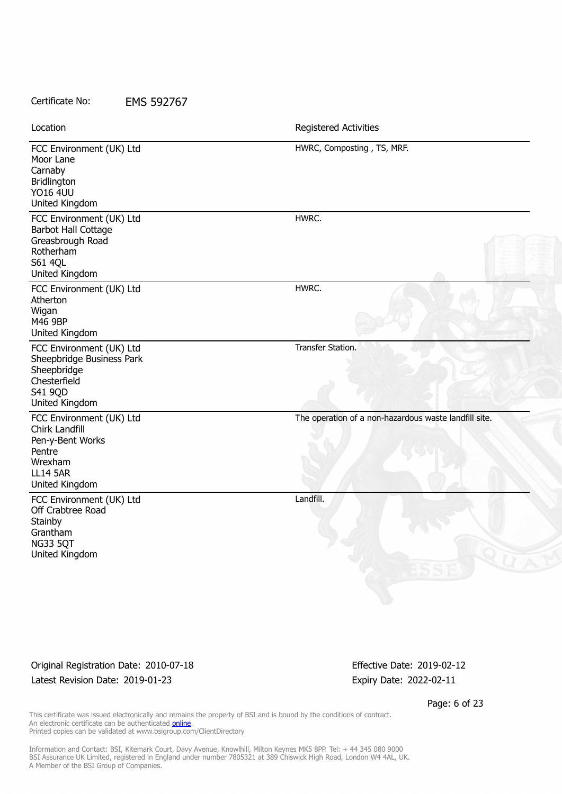| Certificate No: | <b>EMS 592767</b> |
|-----------------|-------------------|
|-----------------|-------------------|

| Location                                                                                                                    | Registered Activities                                 |
|-----------------------------------------------------------------------------------------------------------------------------|-------------------------------------------------------|
| FCC Environment (UK) Ltd<br>Moor Lane<br>Carnaby<br><b>Bridlington</b><br><b>YO16 4UU</b><br>United Kingdom                 | HWRC, Composting, TS, MRF.                            |
| FCC Environment (UK) Ltd<br><b>Barbot Hall Cottage</b><br>Greasbrough Road<br>Rotherham<br><b>S61 4QL</b><br>United Kingdom | HWRC.                                                 |
| FCC Environment (UK) Ltd<br>Atherton<br>Wigan<br>M46 9BP<br>United Kingdom                                                  | HWRC.                                                 |
| FCC Environment (UK) Ltd<br>Sheepbridge Business Park<br>Sheepbridge<br>Chesterfield<br>S41 9QD<br>United Kingdom           | Transfer Station.                                     |
| FCC Environment (UK) Ltd<br>Chirk Landfill<br>Pen-y-Bent Works<br>Pentre<br>Wrexham<br><b>LL14 5AR</b><br>United Kingdom    | The operation of a non-hazardous waste landfill site. |
| FCC Environment (UK) Ltd<br>Off Crabtree Road<br>Stainby<br>Grantham<br><b>NG33 5QT</b><br>United Kingdom                   | Landfill.                                             |

Original Registration Date: 2010-07-18 Effective Date: 2019-02-12 Latest Revision Date: 2019-01-23 Expiry Date: 2022-02-11

Page: 6 of 23

This certificate was issued electronically and remains the property of BSI and is bound by the conditions of contract. An electronic certificate can be authenticated **[online](https://pgplus.bsigroup.com/CertificateValidation/CertificateValidator.aspx?CertificateNumber=EMS+592767&ReIssueDate=23%2f01%2f2019&Template=uk)**. Printed copies can be validated at www.bsigroup.com/ClientDirectory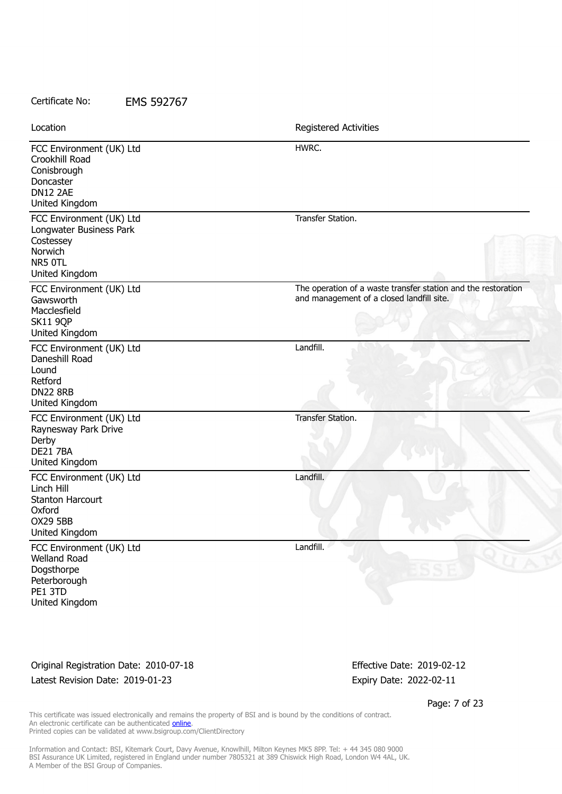| Location                                                                                                         | Registered Activities                                                                                      |
|------------------------------------------------------------------------------------------------------------------|------------------------------------------------------------------------------------------------------------|
| FCC Environment (UK) Ltd<br>Crookhill Road<br>Conisbrough<br>Doncaster<br><b>DN12 2AE</b><br>United Kingdom      | HWRC.                                                                                                      |
| FCC Environment (UK) Ltd<br>Longwater Business Park<br>Costessey<br>Norwich<br>NR5 OTL<br>United Kingdom         | Transfer Station.                                                                                          |
| FCC Environment (UK) Ltd<br>Gawsworth<br>Macclesfield<br><b>SK11 9QP</b><br>United Kingdom                       | The operation of a waste transfer station and the restoration<br>and management of a closed landfill site. |
| FCC Environment (UK) Ltd<br>Daneshill Road<br>Lound<br>Retford<br><b>DN22 8RB</b><br>United Kingdom              | Landfill.                                                                                                  |
| FCC Environment (UK) Ltd<br>Raynesway Park Drive<br>Derby<br><b>DE21 7BA</b><br>United Kingdom                   | Transfer Station.                                                                                          |
| FCC Environment (UK) Ltd<br>Linch Hill<br><b>Stanton Harcourt</b><br>Oxford<br><b>OX29 5BB</b><br>United Kingdom | Landfill.                                                                                                  |
| FCC Environment (UK) Ltd<br>Welland Road<br>Dogsthorpe<br>Peterborough<br>PE1 3TD<br>United Kingdom              | Landfill.                                                                                                  |

Original Registration Date: 2010-07-18 Effective Date: 2019-02-12 Latest Revision Date: 2019-01-23 Expiry Date: 2022-02-11

Page: 7 of 23

This certificate was issued electronically and remains the property of BSI and is bound by the conditions of contract. An electronic certificate can be authenticated **[online](https://pgplus.bsigroup.com/CertificateValidation/CertificateValidator.aspx?CertificateNumber=EMS+592767&ReIssueDate=23%2f01%2f2019&Template=uk)**. Printed copies can be validated at www.bsigroup.com/ClientDirectory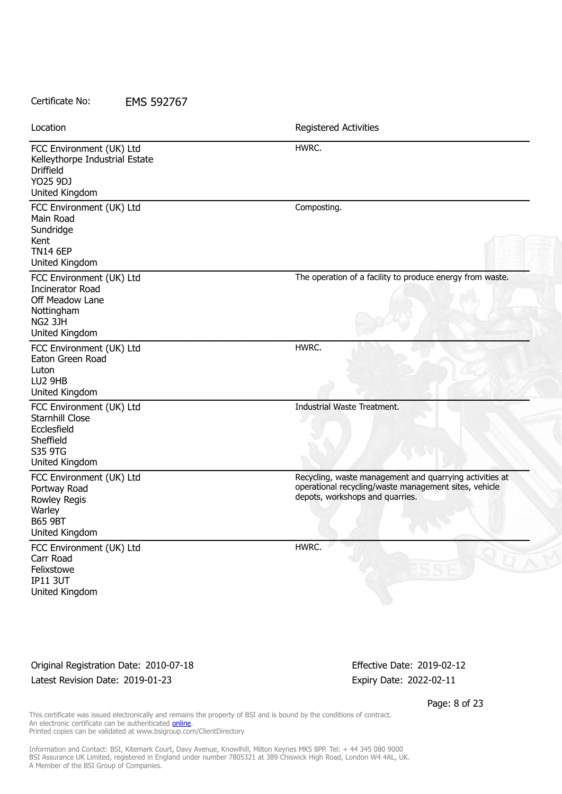| Location                                                                                                            | Registered Activities                                                                                                                               |
|---------------------------------------------------------------------------------------------------------------------|-----------------------------------------------------------------------------------------------------------------------------------------------------|
| FCC Environment (UK) Ltd<br>Kelleythorpe Industrial Estate<br><b>Driffield</b><br><b>YO25 9DJ</b><br>United Kingdom | HWRC.                                                                                                                                               |
| FCC Environment (UK) Ltd<br>Main Road<br>Sundridge<br>Kent<br><b>TN14 6EP</b><br>United Kingdom                     | Composting.                                                                                                                                         |
| FCC Environment (UK) Ltd<br><b>Incinerator Road</b><br>Off Meadow Lane<br>Nottingham<br>NG2 3JH<br>United Kingdom   | The operation of a facility to produce energy from waste.                                                                                           |
| FCC Environment (UK) Ltd<br>Eaton Green Road<br>Luton<br>LU2 9HB<br>United Kingdom                                  | HWRC.                                                                                                                                               |
| FCC Environment (UK) Ltd<br>Starnhill Close<br>Ecclesfield<br>Sheffield<br>S35 9TG<br>United Kingdom                | <b>Industrial Waste Treatment.</b>                                                                                                                  |
| FCC Environment (UK) Ltd<br>Portway Road<br>Rowley Regis<br>Warley<br><b>B65 9BT</b><br>United Kingdom              | Recycling, waste management and quarrying activities at<br>operational recycling/waste management sites, vehicle<br>depots, workshops and quarries. |
| FCC Environment (UK) Ltd<br>Carr Road<br>Felixstowe<br><b>IP11 3UT</b><br>United Kingdom                            | HWRC.                                                                                                                                               |

Original Registration Date: 2010-07-18 Effective Date: 2019-02-12 Latest Revision Date: 2019-01-23 Expiry Date: 2022-02-11

Page: 8 of 23

This certificate was issued electronically and remains the property of BSI and is bound by the conditions of contract. An electronic certificate can be authenticated **[online](https://pgplus.bsigroup.com/CertificateValidation/CertificateValidator.aspx?CertificateNumber=EMS+592767&ReIssueDate=23%2f01%2f2019&Template=uk)**. Printed copies can be validated at www.bsigroup.com/ClientDirectory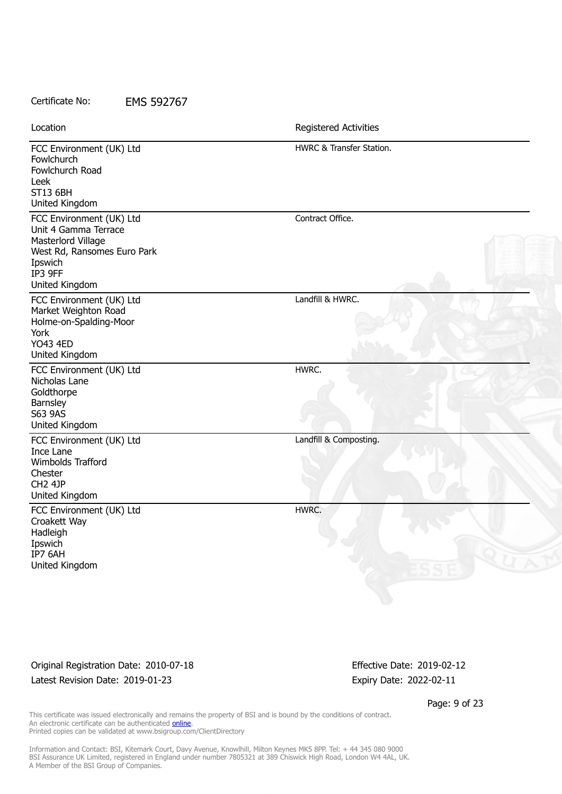| Location                                                                                                                                      | <b>Registered Activities</b> |
|-----------------------------------------------------------------------------------------------------------------------------------------------|------------------------------|
| FCC Environment (UK) Ltd<br>Fowlchurch<br>Fowlchurch Road<br>Leek<br><b>ST13 6BH</b><br>United Kingdom                                        | HWRC & Transfer Station.     |
| FCC Environment (UK) Ltd<br>Unit 4 Gamma Terrace<br>Masterlord Village<br>West Rd, Ransomes Euro Park<br>Ipswich<br>IP3 9FF<br>United Kingdom | Contract Office.             |
| FCC Environment (UK) Ltd<br>Market Weighton Road<br>Holme-on-Spalding-Moor<br>York<br><b>YO43 4ED</b><br>United Kingdom                       | Landfill & HWRC.             |
| FCC Environment (UK) Ltd<br>Nicholas Lane<br>Goldthorpe<br>Barnsley<br>S63 9AS<br>United Kingdom                                              | HWRC.                        |
| FCC Environment (UK) Ltd<br>Ince Lane<br>Wimbolds Trafford<br>Chester<br>CH <sub>2</sub> 4JP<br>United Kingdom                                | Landfill & Composting.       |
| FCC Environment (UK) Ltd<br>Croakett Way<br>Hadleigh<br>Ipswich<br>IP7 6AH<br>United Kingdom                                                  | HWRC.                        |

Original Registration Date: 2010-07-18 Effective Date: 2019-02-12 Latest Revision Date: 2019-01-23 Expiry Date: 2022-02-11

Certificate No: EMS 592767

Page: 9 of 23

This certificate was issued electronically and remains the property of BSI and is bound by the conditions of contract. An electronic certificate can be authenticated **[online](https://pgplus.bsigroup.com/CertificateValidation/CertificateValidator.aspx?CertificateNumber=EMS+592767&ReIssueDate=23%2f01%2f2019&Template=uk)**. Printed copies can be validated at www.bsigroup.com/ClientDirectory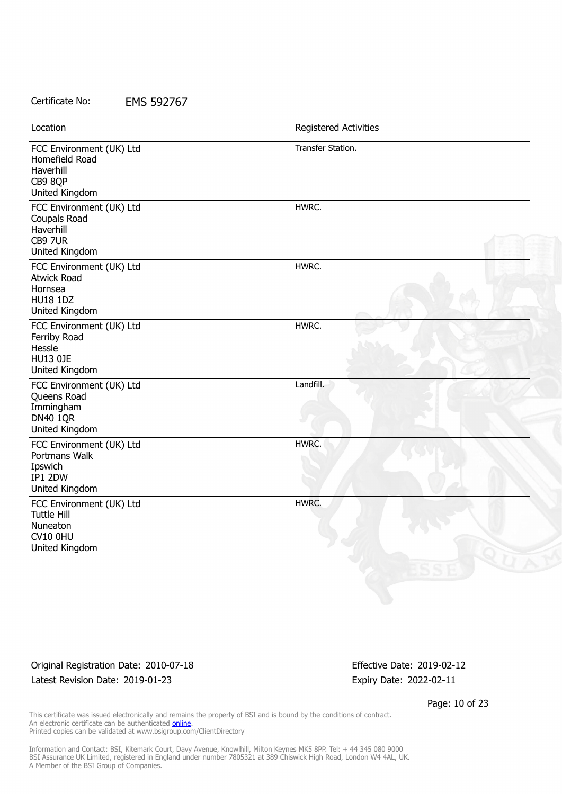| Location                                                                                        | Registered Activities |
|-------------------------------------------------------------------------------------------------|-----------------------|
| FCC Environment (UK) Ltd<br>Homefield Road<br>Haverhill<br>CB9 8QP<br>United Kingdom            | Transfer Station.     |
| FCC Environment (UK) Ltd<br>Coupals Road<br>Haverhill<br>CB9 7UR<br>United Kingdom              | HWRC.                 |
| FCC Environment (UK) Ltd<br><b>Atwick Road</b><br>Hornsea<br><b>HU18 1DZ</b><br>United Kingdom  | HWRC.                 |
| FCC Environment (UK) Ltd<br>Ferriby Road<br>Hessle<br><b>HU13 0JE</b><br>United Kingdom         | HWRC.                 |
| FCC Environment (UK) Ltd<br>Queens Road<br>Immingham<br><b>DN40 1QR</b><br>United Kingdom       | Landfill.             |
| FCC Environment (UK) Ltd<br>Portmans Walk<br>Ipswich<br>IP1 2DW<br>United Kingdom               | HWRC.                 |
| FCC Environment (UK) Ltd<br><b>Tuttle Hill</b><br>Nuneaton<br><b>CV10 0HU</b><br>United Kingdom | HWRC.                 |

Original Registration Date: 2010-07-18 Effective Date: 2019-02-12 Latest Revision Date: 2019-01-23 Expiry Date: 2022-02-11

Page: 10 of 23

This certificate was issued electronically and remains the property of BSI and is bound by the conditions of contract. An electronic certificate can be authenticated **[online](https://pgplus.bsigroup.com/CertificateValidation/CertificateValidator.aspx?CertificateNumber=EMS+592767&ReIssueDate=23%2f01%2f2019&Template=uk)**. Printed copies can be validated at www.bsigroup.com/ClientDirectory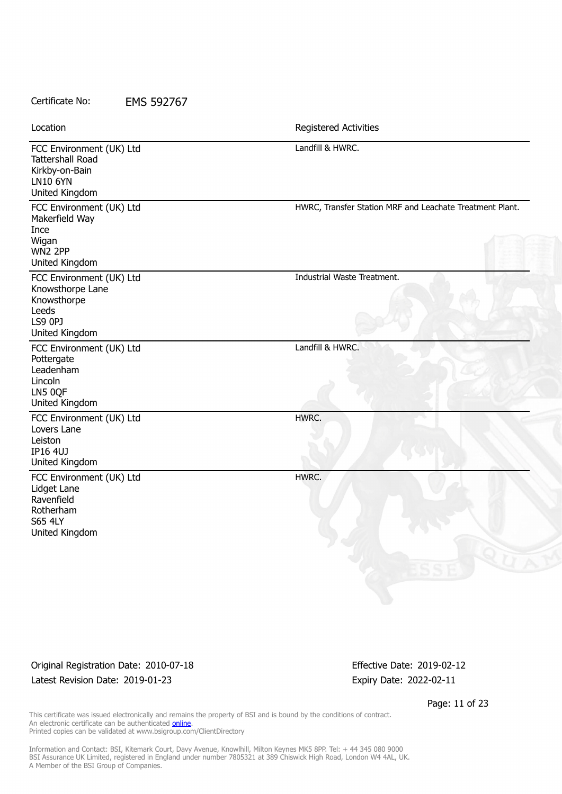| Location                                                                                                   | Registered Activities                                    |
|------------------------------------------------------------------------------------------------------------|----------------------------------------------------------|
| FCC Environment (UK) Ltd<br><b>Tattershall Road</b><br>Kirkby-on-Bain<br><b>LN10 6YN</b><br>United Kingdom | Landfill & HWRC.                                         |
| FCC Environment (UK) Ltd<br>Makerfield Way<br>Ince<br>Wigan<br>WN2 2PP<br>United Kingdom                   | HWRC, Transfer Station MRF and Leachate Treatment Plant. |
| FCC Environment (UK) Ltd<br>Knowsthorpe Lane<br>Knowsthorpe<br>Leeds<br><b>LS9 0PJ</b><br>United Kingdom   | Industrial Waste Treatment.                              |
| FCC Environment (UK) Ltd<br>Pottergate<br>Leadenham<br>Lincoln<br>LN5 0QF<br>United Kingdom                | Landfill & HWRC.                                         |
| FCC Environment (UK) Ltd<br>Lovers Lane<br>Leiston<br>IP16 4UJ<br>United Kingdom                           | HWRC.                                                    |
| FCC Environment (UK) Ltd<br>Lidget Lane<br>Ravenfield<br>Rotherham<br><b>S65 4LY</b><br>United Kingdom     | HWRC.                                                    |

Original Registration Date: 2010-07-18 Effective Date: 2019-02-12 Latest Revision Date: 2019-01-23 Expiry Date: 2022-02-11

Page: 11 of 23

This certificate was issued electronically and remains the property of BSI and is bound by the conditions of contract. An electronic certificate can be authenticated **[online](https://pgplus.bsigroup.com/CertificateValidation/CertificateValidator.aspx?CertificateNumber=EMS+592767&ReIssueDate=23%2f01%2f2019&Template=uk)**. Printed copies can be validated at www.bsigroup.com/ClientDirectory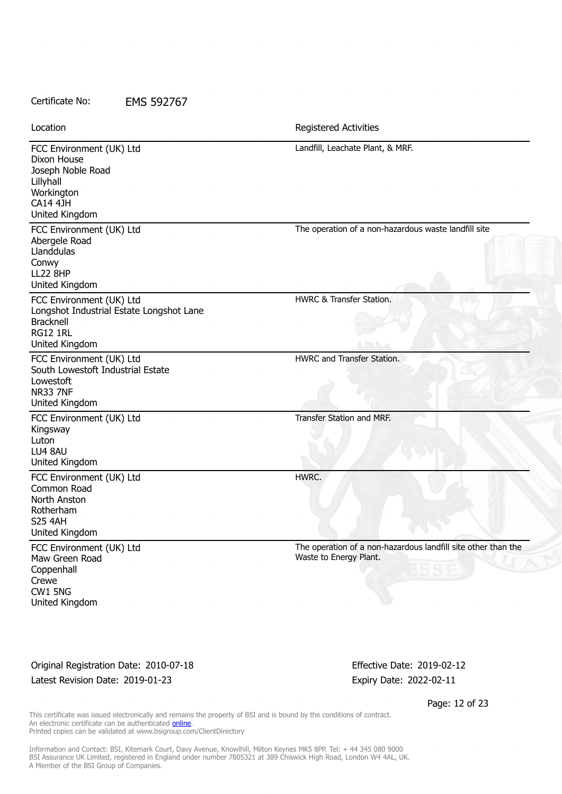FCC Environment (UK) Ltd Dixon House Joseph Noble Road Lillyhall **Workington** CA14 4JH United Kingdom Landfill, Leachate Plant, & MRF. FCC Environment (UK) Ltd Abergele Road Llanddulas Conwy LL22 8HP United Kingdom The operation of a non-hazardous waste landfill site FCC Environment (UK) Ltd Longshot Industrial Estate Longshot Lane Bracknell RG12 1RL United Kingdom HWRC & Transfer Station. FCC Environment (UK) Ltd South Lowestoft Industrial Estate Lowestoft NR33 7NF United Kingdom HWRC and Transfer Station. FCC Environment (UK) Ltd Kingsway Luton LU4 8AU United Kingdom Transfer Station and MRF. FCC Environment (UK) Ltd Common Road North Anston Rotherham S25 4AH United Kingdom HWRC. FCC Environment (UK) Ltd Maw Green Road Coppenhall Crewe CW1 5NG United Kingdom The operation of a non-hazardous landfill site other than the Waste to Energy Plant. Location **Exercise 2018 Location Registered Activities** 

Original Registration Date: 2010-07-18 Effective Date: 2019-02-12 Latest Revision Date: 2019-01-23 Expiry Date: 2022-02-11

Page: 12 of 23

This certificate was issued electronically and remains the property of BSI and is bound by the conditions of contract. An electronic certificate can be authenticated **[online](https://pgplus.bsigroup.com/CertificateValidation/CertificateValidator.aspx?CertificateNumber=EMS+592767&ReIssueDate=23%2f01%2f2019&Template=uk)**. Printed copies can be validated at www.bsigroup.com/ClientDirectory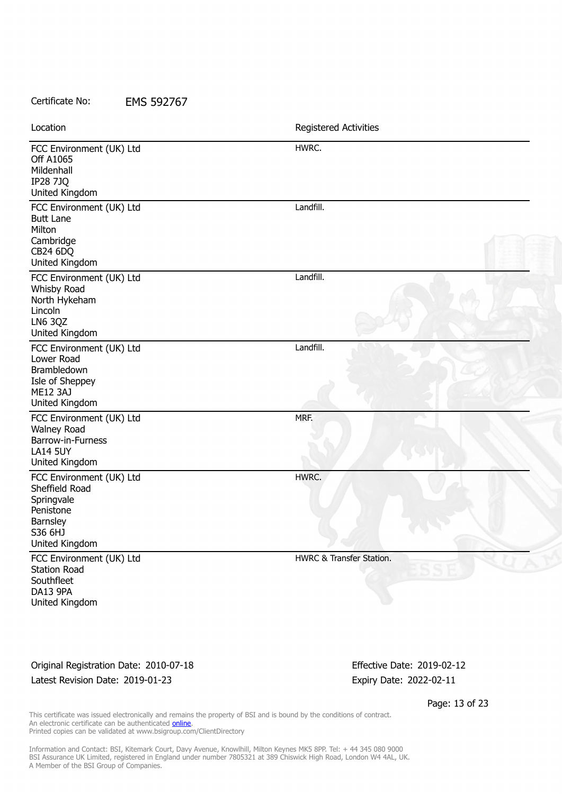| Location                                                                                                       | Registered Activities            |
|----------------------------------------------------------------------------------------------------------------|----------------------------------|
| FCC Environment (UK) Ltd<br>Off A1065<br>Mildenhall<br><b>IP28 7JQ</b><br>United Kingdom                       | HWRC.                            |
| FCC Environment (UK) Ltd<br><b>Butt Lane</b><br>Milton<br>Cambridge<br><b>CB24 6DQ</b><br>United Kingdom       | Landfill.                        |
| FCC Environment (UK) Ltd<br>Whisby Road<br>North Hykeham<br>Lincoln<br><b>LN6 3QZ</b><br>United Kingdom        | Landfill.                        |
| FCC Environment (UK) Ltd<br>Lower Road<br>Brambledown<br>Isle of Sheppey<br><b>ME12 3AJ</b><br>United Kingdom  | Landfill.                        |
| FCC Environment (UK) Ltd<br><b>Walney Road</b><br>Barrow-in-Furness<br><b>LA14 5UY</b><br>United Kingdom       | MRF.                             |
| FCC Environment (UK) Ltd<br>Sheffield Road<br>Springvale<br>Penistone<br>Barnsley<br>S36 6HJ<br>United Kingdom | HWRC.                            |
| FCC Environment (UK) Ltd<br><b>Station Road</b><br>Southfleet<br>DA13 9PA<br>United Kingdom                    | HWRC & Transfer Station.<br>55 E |

Original Registration Date: 2010-07-18 Effective Date: 2019-02-12 Latest Revision Date: 2019-01-23 Expiry Date: 2022-02-11

Page: 13 of 23

This certificate was issued electronically and remains the property of BSI and is bound by the conditions of contract. An electronic certificate can be authenticated **[online](https://pgplus.bsigroup.com/CertificateValidation/CertificateValidator.aspx?CertificateNumber=EMS+592767&ReIssueDate=23%2f01%2f2019&Template=uk)**. Printed copies can be validated at www.bsigroup.com/ClientDirectory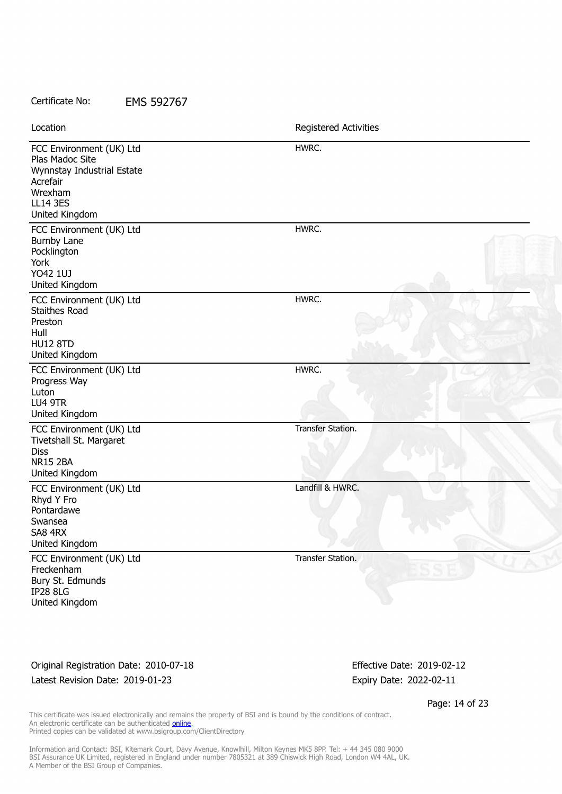| Location                                                                                                                              | Registered Activities     |
|---------------------------------------------------------------------------------------------------------------------------------------|---------------------------|
| FCC Environment (UK) Ltd<br>Plas Madoc Site<br>Wynnstay Industrial Estate<br>Acrefair<br>Wrexham<br><b>LL14 3ES</b><br>United Kingdom | HWRC.                     |
| FCC Environment (UK) Ltd<br><b>Burnby Lane</b><br>Pocklington<br>York<br>YO42 1UJ<br>United Kingdom                                   | HWRC.                     |
| FCC Environment (UK) Ltd<br><b>Staithes Road</b><br>Preston<br>Hull<br><b>HU12 8TD</b><br>United Kingdom                              | HWRC.                     |
| FCC Environment (UK) Ltd<br>Progress Way<br>Luton<br>LU4 9TR<br>United Kingdom                                                        | HWRC.                     |
| FCC Environment (UK) Ltd<br>Tivetshall St. Margaret<br><b>Diss</b><br><b>NR15 2BA</b><br>United Kingdom                               | Transfer Station.         |
| FCC Environment (UK) Ltd<br>Rhyd Y Fro<br>Pontardawe<br>Swansea<br>SA8 4RX<br>United Kingdom                                          | Landfill & HWRC.          |
| FCC Environment (UK) Ltd<br>Freckenham<br>Bury St. Edmunds<br><b>IP28 8LG</b><br>United Kingdom                                       | Transfer Station.<br>55 E |

## Original Registration Date: 2010-07-18 Effective Date: 2019-02-12 Latest Revision Date: 2019-01-23 Expiry Date: 2022-02-11

Page: 14 of 23

This certificate was issued electronically and remains the property of BSI and is bound by the conditions of contract. An electronic certificate can be authenticated **[online](https://pgplus.bsigroup.com/CertificateValidation/CertificateValidator.aspx?CertificateNumber=EMS+592767&ReIssueDate=23%2f01%2f2019&Template=uk)**. Printed copies can be validated at www.bsigroup.com/ClientDirectory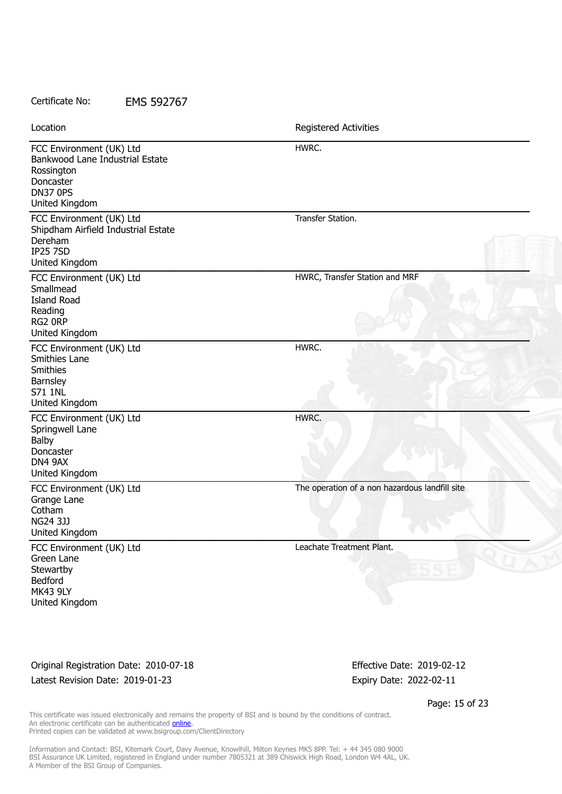| Certificate No: | <b>EMS 592767</b> |
|-----------------|-------------------|
|                 |                   |

| Location                                                                                                                    | <b>Registered Activities</b>                   |
|-----------------------------------------------------------------------------------------------------------------------------|------------------------------------------------|
| FCC Environment (UK) Ltd<br>Bankwood Lane Industrial Estate<br>Rossington<br>Doncaster<br><b>DN37 0PS</b><br>United Kingdom | HWRC.                                          |
| FCC Environment (UK) Ltd<br>Shipdham Airfield Industrial Estate<br>Dereham<br><b>IP25 7SD</b><br>United Kingdom             | Transfer Station.                              |
| FCC Environment (UK) Ltd<br>Smallmead<br><b>Island Road</b><br>Reading<br>RG2 ORP<br>United Kingdom                         | HWRC, Transfer Station and MRF                 |
| FCC Environment (UK) Ltd<br>Smithies Lane<br>Smithies<br>Barnsley<br><b>S71 1NL</b><br>United Kingdom                       | HWRC.                                          |
| FCC Environment (UK) Ltd<br>Springwell Lane<br>Balby<br>Doncaster<br>DN4 9AX<br>United Kingdom                              | HWRC.                                          |
| FCC Environment (UK) Ltd<br>Grange Lane<br>Cotham<br>NG24 3JJ<br>United Kingdom                                             | The operation of a non hazardous landfill site |
| FCC Environment (UK) Ltd<br>Green Lane<br>Stewartby<br>Bedford<br><b>MK43 9LY</b><br>United Kingdom                         | Leachate Treatment Plant.                      |

Original Registration Date: 2010-07-18 Effective Date: 2019-02-12 Latest Revision Date: 2019-01-23 Expiry Date: 2022-02-11

Page: 15 of 23

This certificate was issued electronically and remains the property of BSI and is bound by the conditions of contract. An electronic certificate can be authenticated **[online](https://pgplus.bsigroup.com/CertificateValidation/CertificateValidator.aspx?CertificateNumber=EMS+592767&ReIssueDate=23%2f01%2f2019&Template=uk)**. Printed copies can be validated at www.bsigroup.com/ClientDirectory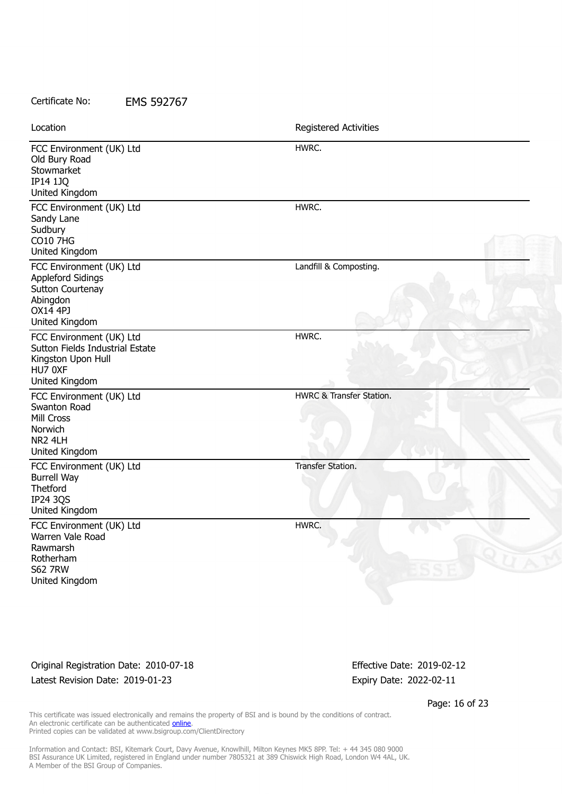| Location                                                                                                           | Registered Activities    |
|--------------------------------------------------------------------------------------------------------------------|--------------------------|
| FCC Environment (UK) Ltd<br>Old Bury Road<br>Stowmarket<br><b>IP14 1JQ</b><br>United Kingdom                       | HWRC.                    |
| FCC Environment (UK) Ltd<br>Sandy Lane<br>Sudbury<br><b>CO10 7HG</b><br>United Kingdom                             | HWRC.                    |
| FCC Environment (UK) Ltd<br>Appleford Sidings<br>Sutton Courtenay<br>Abingdon<br><b>OX14 4PJ</b><br>United Kingdom | Landfill & Composting.   |
| FCC Environment (UK) Ltd<br>Sutton Fields Industrial Estate<br>Kingston Upon Hull<br>HU7 0XF<br>United Kingdom     | HWRC.                    |
| FCC Environment (UK) Ltd<br>Swanton Road<br>Mill Cross<br>Norwich<br>NR <sub>2</sub> 4LH<br>United Kingdom         | HWRC & Transfer Station. |
| FCC Environment (UK) Ltd<br><b>Burrell Way</b><br>Thetford<br><b>IP24 3QS</b><br>United Kingdom                    | Transfer Station.        |
| FCC Environment (UK) Ltd<br>Warren Vale Road<br>Rawmarsh<br>Rotherham<br><b>S62 7RW</b><br>United Kingdom          | HWRC.                    |

## Original Registration Date: 2010-07-18 Effective Date: 2019-02-12 Latest Revision Date: 2019-01-23 Expiry Date: 2022-02-11

Page: 16 of 23

This certificate was issued electronically and remains the property of BSI and is bound by the conditions of contract. An electronic certificate can be authenticated **[online](https://pgplus.bsigroup.com/CertificateValidation/CertificateValidator.aspx?CertificateNumber=EMS+592767&ReIssueDate=23%2f01%2f2019&Template=uk)**. Printed copies can be validated at www.bsigroup.com/ClientDirectory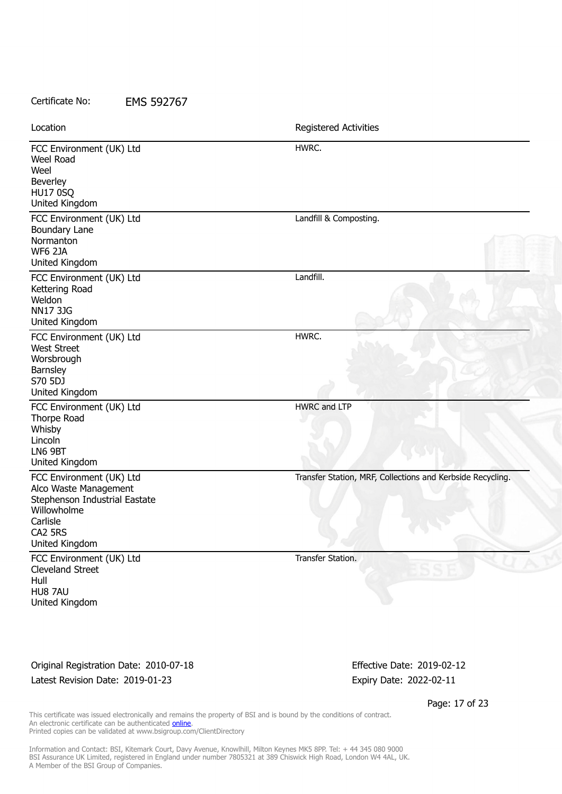| Location                                                                                                                                   | Registered Activities                                      |
|--------------------------------------------------------------------------------------------------------------------------------------------|------------------------------------------------------------|
| FCC Environment (UK) Ltd<br>Weel Road<br>Weel<br>Beverley<br><b>HU17 0SQ</b><br>United Kingdom                                             | HWRC.                                                      |
| FCC Environment (UK) Ltd<br><b>Boundary Lane</b><br>Normanton<br><b>WF6 2JA</b><br>United Kingdom                                          | Landfill & Composting.                                     |
| FCC Environment (UK) Ltd<br>Kettering Road<br>Weldon<br><b>NN17 3JG</b><br>United Kingdom                                                  | Landfill.                                                  |
| FCC Environment (UK) Ltd<br><b>West Street</b><br>Worsbrough<br><b>Barnsley</b><br>S70 5DJ<br>United Kingdom                               | HWRC.                                                      |
| FCC Environment (UK) Ltd<br>Thorpe Road<br>Whisby<br>Lincoln<br>LN6 9BT<br>United Kingdom                                                  | <b>HWRC and LTP</b>                                        |
| FCC Environment (UK) Ltd<br>Alco Waste Management<br>Stephenson Industrial Eastate<br>Willowholme<br>Carlisle<br>CA2 5RS<br>United Kingdom | Transfer Station, MRF, Collections and Kerbside Recycling. |
| FCC Environment (UK) Ltd<br>Cleveland Street<br>Hull<br>HU8 7AU<br>United Kingdom                                                          | Transfer Station.                                          |
| Original Registration Date: 2010-07-18                                                                                                     | Effective Date: 2019-02-12                                 |

Latest Revision Date: 2019-01-23 Expiry Date: 2022-02-11

Page: 17 of 23

This certificate was issued electronically and remains the property of BSI and is bound by the conditions of contract. An electronic certificate can be authenticated **[online](https://pgplus.bsigroup.com/CertificateValidation/CertificateValidator.aspx?CertificateNumber=EMS+592767&ReIssueDate=23%2f01%2f2019&Template=uk)**. Printed copies can be validated at www.bsigroup.com/ClientDirectory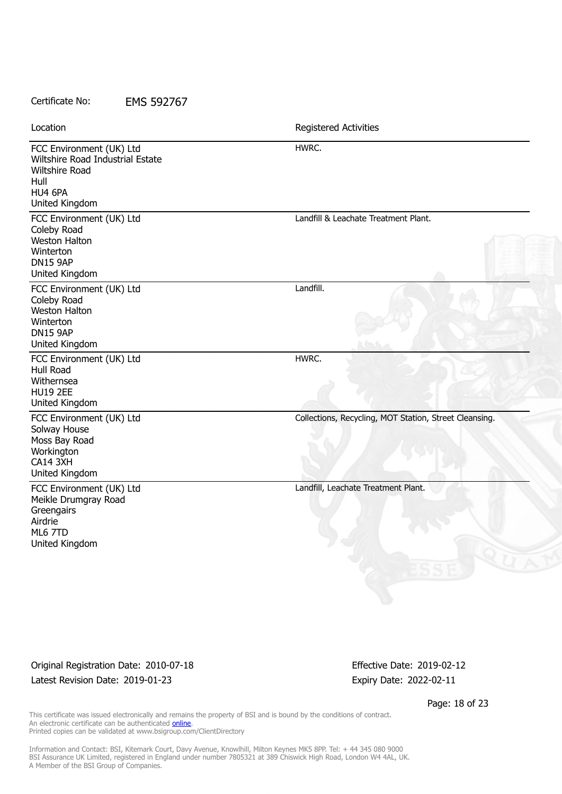| Location                                                                                                                   | Registered Activities                                  |
|----------------------------------------------------------------------------------------------------------------------------|--------------------------------------------------------|
| FCC Environment (UK) Ltd<br>Wiltshire Road Industrial Estate<br><b>Wiltshire Road</b><br>Hull<br>HU4 6PA<br>United Kingdom | HWRC.                                                  |
| FCC Environment (UK) Ltd<br>Coleby Road<br><b>Weston Halton</b><br>Winterton<br><b>DN15 9AP</b><br>United Kingdom          | Landfill & Leachate Treatment Plant.                   |
| FCC Environment (UK) Ltd<br>Coleby Road<br>Weston Halton<br>Winterton<br><b>DN15 9AP</b><br>United Kingdom                 | Landfill.                                              |
| FCC Environment (UK) Ltd<br><b>Hull Road</b><br>Withernsea<br><b>HU19 2EE</b><br>United Kingdom                            | HWRC.                                                  |
| FCC Environment (UK) Ltd<br>Solway House<br>Moss Bay Road<br>Workington<br><b>CA14 3XH</b><br>United Kingdom               | Collections, Recycling, MOT Station, Street Cleansing. |
| FCC Environment (UK) Ltd<br>Meikle Drumgray Road<br>Greengairs<br>Airdrie<br>ML6 7TD<br>United Kingdom                     | Landfill, Leachate Treatment Plant.                    |

Original Registration Date: 2010-07-18 Effective Date: 2019-02-12 Latest Revision Date: 2019-01-23 Expiry Date: 2022-02-11

Page: 18 of 23

This certificate was issued electronically and remains the property of BSI and is bound by the conditions of contract. An electronic certificate can be authenticated **[online](https://pgplus.bsigroup.com/CertificateValidation/CertificateValidator.aspx?CertificateNumber=EMS+592767&ReIssueDate=23%2f01%2f2019&Template=uk)**. Printed copies can be validated at www.bsigroup.com/ClientDirectory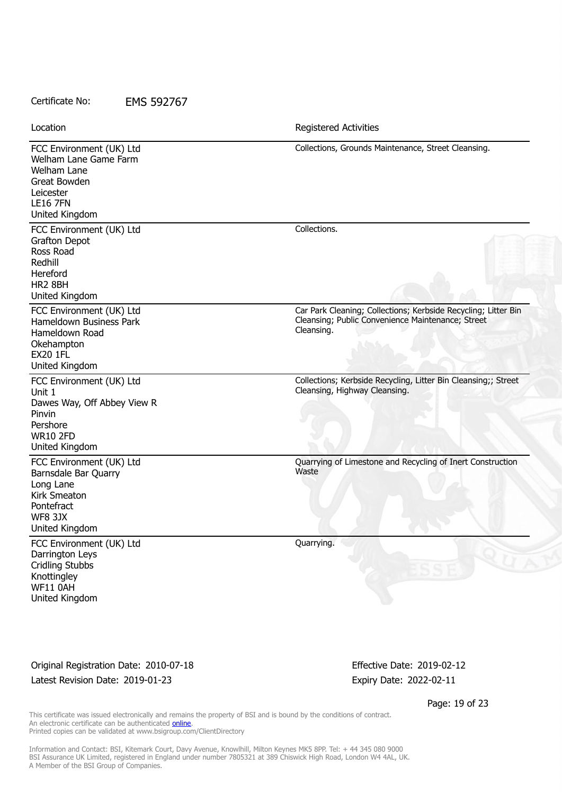FCC Environment (UK) Ltd Welham Lane Game Farm Welham Lane Great Bowden Leicester LE16 7FN United Kingdom Collections, Grounds Maintenance, Street Cleansing. FCC Environment (UK) Ltd Grafton Depot Ross Road Redhill Hereford HR2 8BH United Kingdom Collections. FCC Environment (UK) Ltd Hameldown Business Park Hameldown Road **Okehampton** EX20 1FL United Kingdom Car Park Cleaning; Collections; Kerbside Recycling; Litter Bin Cleansing; Public Convenience Maintenance; Street Cleansing. FCC Environment (UK) Ltd Unit 1 Dawes Way, Off Abbey View R Pinvin Pershore WR10 2FD United Kingdom Collections; Kerbside Recycling, Litter Bin Cleansing;; Street Cleansing, Highway Cleansing. FCC Environment (UK) Ltd Barnsdale Bar Quarry Long Lane Kirk Smeaton **Pontefract** WF8 3JX United Kingdom Quarrying of Limestone and Recycling of Inert Construction Waste FCC Environment (UK) Ltd Darrington Leys Cridling Stubbs Knottingley WF11 0AH United Kingdom Quarrying. Location **Exercise 2018 Location Registered Activities** 

Original Registration Date: 2010-07-18 Effective Date: 2019-02-12 Latest Revision Date: 2019-01-23 Expiry Date: 2022-02-11

Page: 19 of 23

This certificate was issued electronically and remains the property of BSI and is bound by the conditions of contract. An electronic certificate can be authenticated **[online](https://pgplus.bsigroup.com/CertificateValidation/CertificateValidator.aspx?CertificateNumber=EMS+592767&ReIssueDate=23%2f01%2f2019&Template=uk)**. Printed copies can be validated at www.bsigroup.com/ClientDirectory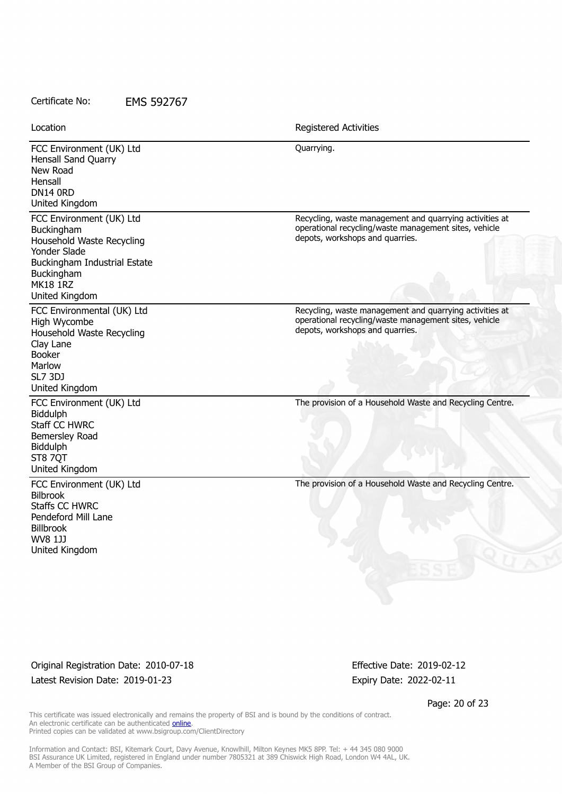FCC Environment (UK) Ltd Hensall Sand Quarry New Road Hensall DN14 0RD United Kingdom FCC Environment (UK) Ltd Buckingham Household Waste Recycling Yonder Slade

Buckingham Industrial Estate Buckingham MK<sub>18</sub> 1R<sub>Z</sub> United Kingdom

FCC Environmental (UK) Ltd High Wycombe Household Waste Recycling Clay Lane Booker Marlow SL7 3DJ United Kingdom

FCC Environment (UK) Ltd **Biddulph** Staff CC HWRC Bemersley Road Biddulph **ST8 70T** United Kingdom

FCC Environment (UK) Ltd Bilbrook Staffs CC HWRC Pendeford Mill Lane Billbrook WV8 1JJ United Kingdom

Location **Exercise 2018 Location Registered Activities** 

Quarrying.

Recycling, waste management and quarrying activities at operational recycling/waste management sites, vehicle depots, workshops and quarries.

Recycling, waste management and quarrying activities at operational recycling/waste management sites, vehicle depots, workshops and quarries.

The provision of a Household Waste and Recycling Centre.

The provision of a Household Waste and Recycling Centre.

Original Registration Date: 2010-07-18 Effective Date: 2019-02-12 Latest Revision Date: 2019-01-23 Expiry Date: 2022-02-11

Page: 20 of 23

This certificate was issued electronically and remains the property of BSI and is bound by the conditions of contract. An electronic certificate can be authenticated **[online](https://pgplus.bsigroup.com/CertificateValidation/CertificateValidator.aspx?CertificateNumber=EMS+592767&ReIssueDate=23%2f01%2f2019&Template=uk)**. Printed copies can be validated at www.bsigroup.com/ClientDirectory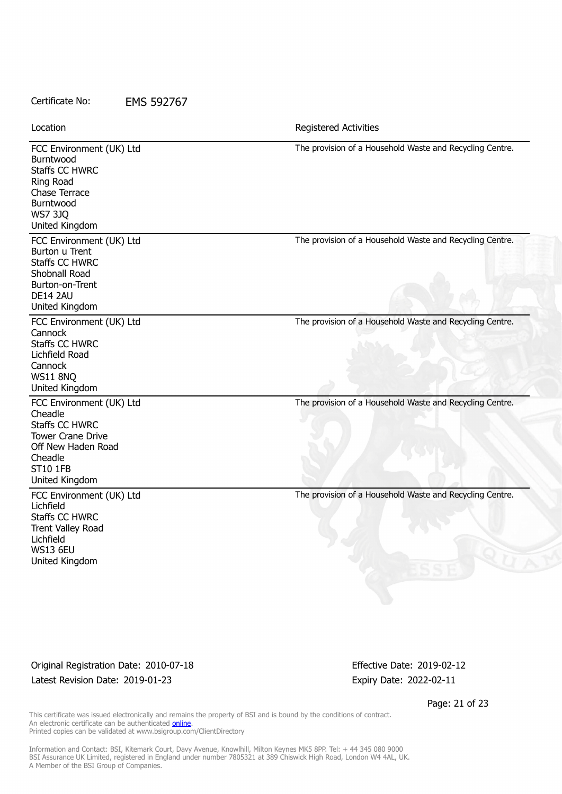FCC Environment (UK) Ltd Burntwood Staffs CC HWRC Ring Road Chase Terrace Burntwood WS7 3JQ United Kingdom The provision of a Household Waste and Recycling Centre. FCC Environment (UK) Ltd Burton u Trent Staffs CC HWRC Shobnall Road Burton-on-Trent DE14 2AU United Kingdom The provision of a Household Waste and Recycling Centre. FCC Environment (UK) Ltd Cannock Staffs CC HWRC Lichfield Road **Cannock** WS11 8NQ United Kingdom The provision of a Household Waste and Recycling Centre. FCC Environment (UK) Ltd Cheadle Staffs CC HWRC Tower Crane Drive Off New Haden Road Cheadle ST10 1FB United Kingdom The provision of a Household Waste and Recycling Centre. FCC Environment (UK) Ltd Lichfield Staffs CC HWRC Trent Valley Road Lichfield WS13 6EU United Kingdom The provision of a Household Waste and Recycling Centre. Location **Exercise 2018 Location Registered Activities** 

Original Registration Date: 2010-07-18 Effective Date: 2019-02-12 Latest Revision Date: 2019-01-23 Expiry Date: 2022-02-11

Page: 21 of 23

This certificate was issued electronically and remains the property of BSI and is bound by the conditions of contract. An electronic certificate can be authenticated **[online](https://pgplus.bsigroup.com/CertificateValidation/CertificateValidator.aspx?CertificateNumber=EMS+592767&ReIssueDate=23%2f01%2f2019&Template=uk)**. Printed copies can be validated at www.bsigroup.com/ClientDirectory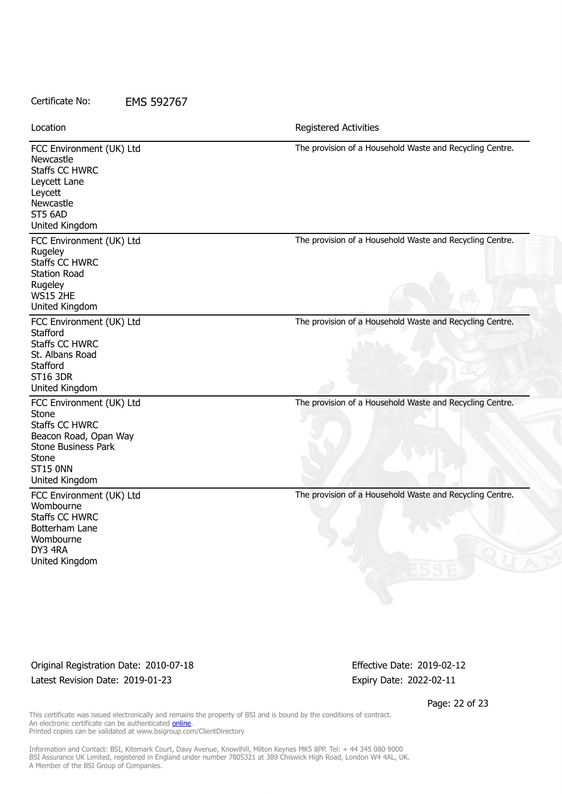FCC Environment (UK) Ltd Newcastle Staffs CC HWRC Leycett Lane Leycett Newcastle ST5 6AD United Kingdom The provision of a Household Waste and Recycling Centre. FCC Environment (UK) Ltd Rugeley Staffs CC HWRC Station Road **Rugeley** WS15 2HE United Kingdom The provision of a Household Waste and Recycling Centre. FCC Environment (UK) Ltd Stafford Staffs CC HWRC St. Albans Road **Stafford** ST16 3DR United Kingdom The provision of a Household Waste and Recycling Centre. FCC Environment (UK) Ltd Stone Staffs CC HWRC Beacon Road, Opan Way Stone Business Park Stone ST15 0NN United Kingdom The provision of a Household Waste and Recycling Centre. FCC Environment (UK) Ltd **Wombourne** The provision of a Household Waste and Recycling Centre. Location **Exercise 2018 Location Registered Activities** 

Original Registration Date: 2010-07-18 Effective Date: 2019-02-12 Latest Revision Date: 2019-01-23 Expiry Date: 2022-02-11

Staffs CC HWRC Botterham Lane Wombourne DY3 4RA United Kingdom

Page: 22 of 23

This certificate was issued electronically and remains the property of BSI and is bound by the conditions of contract. An electronic certificate can be authenticated **[online](https://pgplus.bsigroup.com/CertificateValidation/CertificateValidator.aspx?CertificateNumber=EMS+592767&ReIssueDate=23%2f01%2f2019&Template=uk)**. Printed copies can be validated at www.bsigroup.com/ClientDirectory